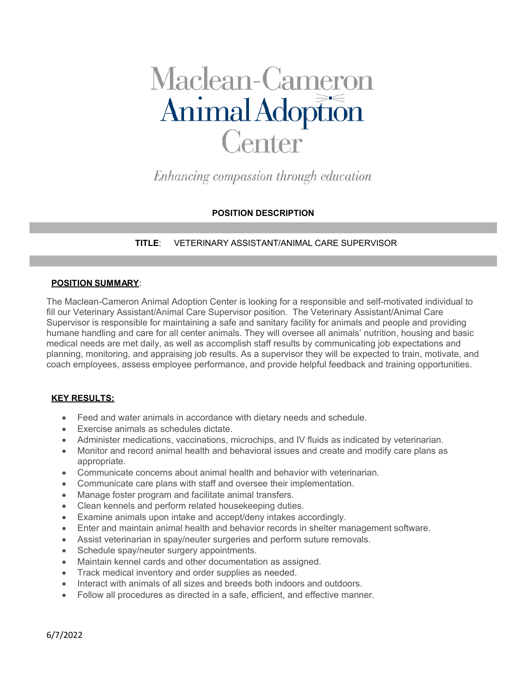# Maclean-Cameron<br>Animal Adoption Center<sup>-</sup>

Enhancing compassion through education

# **POSITION DESCRIPTION**

**TITLE**: VETERINARY ASSISTANT/ANIMAL CARE SUPERVISOR

### **POSITION SUMMARY**:

The Maclean-Cameron Animal Adoption Center is looking for a responsible and self-motivated individual to fill our Veterinary Assistant/Animal Care Supervisor position. The Veterinary Assistant/Animal Care Supervisor is responsible for maintaining a safe and sanitary facility for animals and people and providing humane handling and care for all center animals. They will oversee all animals' nutrition, housing and basic medical needs are met daily, as well as accomplish staff results by communicating job expectations and planning, monitoring, and appraising job results. As a supervisor they will be expected to train, motivate, and coach employees, assess employee performance, and provide helpful feedback and training opportunities.

# **KEY RESULTS:**

- Feed and water animals in accordance with dietary needs and schedule.
- Exercise animals as schedules dictate.
- Administer medications, vaccinations, microchips, and IV fluids as indicated by veterinarian.
- Monitor and record animal health and behavioral issues and create and modify care plans as appropriate.
- Communicate concerns about animal health and behavior with veterinarian.
- Communicate care plans with staff and oversee their implementation.
- Manage foster program and facilitate animal transfers.
- Clean kennels and perform related housekeeping duties.
- Examine animals upon intake and accept/deny intakes accordingly.
- Enter and maintain animal health and behavior records in shelter management software.
- Assist veterinarian in spay/neuter surgeries and perform suture removals.
- Schedule spay/neuter surgery appointments.
- Maintain kennel cards and other documentation as assigned.
- Track medical inventory and order supplies as needed.
- Interact with animals of all sizes and breeds both indoors and outdoors.
- Follow all procedures as directed in a safe, efficient, and effective manner.